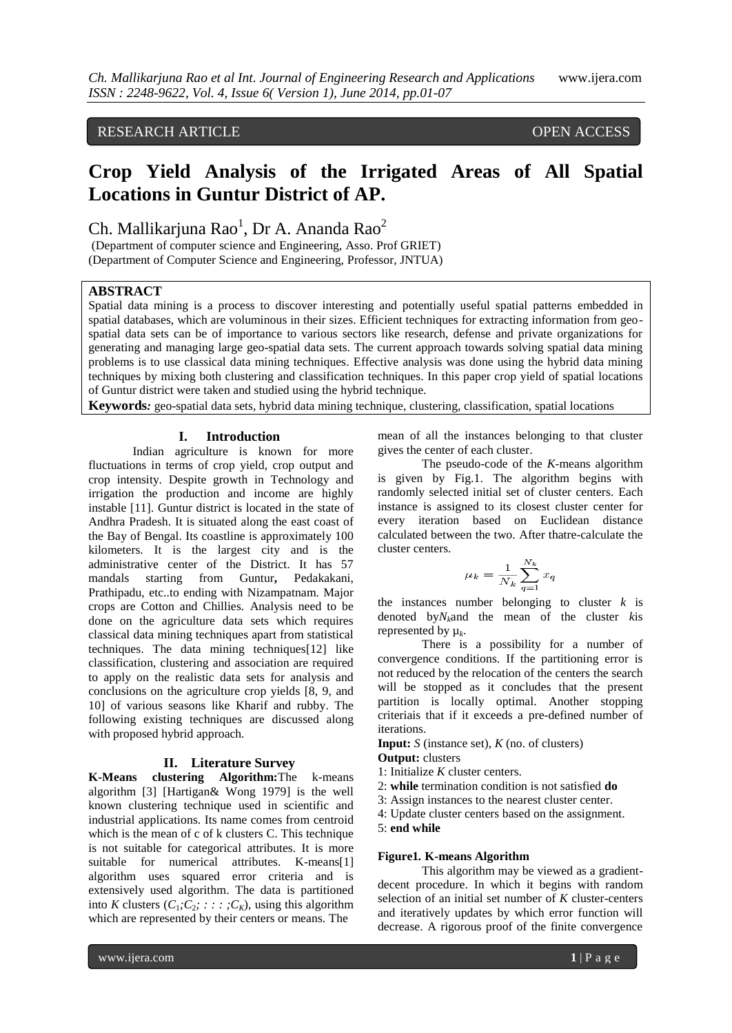# RESEARCH ARTICLE OPEN ACCESS

# **Crop Yield Analysis of the Irrigated Areas of All Spatial Locations in Guntur District of AP.**

Ch. Mallikarjuna Rao<sup>1</sup>, Dr A. Ananda Rao<sup>2</sup>

(Department of computer science and Engineering, Asso. Prof GRIET) (Department of Computer Science and Engineering, Professor, JNTUA)

# **ABSTRACT**

Spatial data mining is a process to discover interesting and potentially useful spatial patterns embedded in spatial databases, which are voluminous in their sizes. Efficient techniques for extracting information from geospatial data sets can be of importance to various sectors like research, defense and private organizations for generating and managing large geo-spatial data sets. The current approach towards solving spatial data mining problems is to use classical data mining techniques. Effective analysis was done using the hybrid data mining techniques by mixing both clustering and classification techniques. In this paper crop yield of spatial locations of Guntur district were taken and studied using the hybrid technique.

**Keywords***:* geo-spatial data sets, hybrid data mining technique, clustering, classification, spatial locations

#### **I. Introduction**

Indian agriculture is known for more fluctuations in terms of crop yield, crop output and crop intensity. Despite growth in Technology and irrigation the production and income are highly instable [11]. Guntur district is located in the state of Andhra Pradesh. It is situated along the east coast of the Bay of Bengal. Its coastline is approximately 100 kilometers. It is the largest city and is the administrative center of the District. It has 57 mandals starting from Guntur**,** Pedakakani, Prathipadu, etc..to ending with Nizampatnam. Major crops are Cotton and Chillies. Analysis need to be done on the agriculture data sets which requires classical data mining techniques apart from statistical techniques. The data mining techniques[12] like classification, clustering and association are required to apply on the realistic data sets for analysis and conclusions on the agriculture crop yields [8, 9, and 10] of various seasons like Kharif and rubby. The following existing techniques are discussed along with proposed hybrid approach.

### **II. Literature Survey**

**K-Means clustering Algorithm:**The k-means algorithm [3] [Hartigan& Wong 1979] is the well known clustering technique used in scientific and industrial applications. Its name comes from centroid which is the mean of c of k clusters C. This technique is not suitable for categorical attributes. It is more suitable for numerical attributes. K-means[1] algorithm uses squared error criteria and is extensively used algorithm. The data is partitioned into *K* clusters  $(C_1; C_2; \dots; C_K)$ , using this algorithm which are represented by their centers or means. The

mean of all the instances belonging to that cluster gives the center of each cluster.

The pseudo-code of the *K*-means algorithm is given by Fig.1. The algorithm begins with randomly selected initial set of cluster centers. Each instance is assigned to its closest cluster center for every iteration based on Euclidean distance calculated between the two. After thatre-calculate the cluster centers.

$$
\mu_k = \frac{1}{N_k} \sum_{q=1}^{N_k} x_q
$$

the instances number belonging to cluster  $k$  is denoted by*Nk*and the mean of the cluster *k*is represented by µ*<sup>k</sup>* .

There is a possibility for a number of convergence conditions. If the partitioning error is not reduced by the relocation of the centers the search will be stopped as it concludes that the present partition is locally optimal. Another stopping criteriais that if it exceeds a pre-defined number of iterations.

**Input:**  $S$  (instance set),  $K$  (no. of clusters)

## **Output:** clusters

- 1: Initialize *K* cluster centers.
- 2: **while** termination condition is not satisfied **do**
- 3: Assign instances to the nearest cluster center.

4: Update cluster centers based on the assignment. 5: **end while**

#### **Figure1***.* **K-means Algorithm**

This algorithm may be viewed as a gradientdecent procedure. In which it begins with random selection of an initial set number of *K* cluster-centers and iteratively updates by which error function will decrease. A rigorous proof of the finite convergence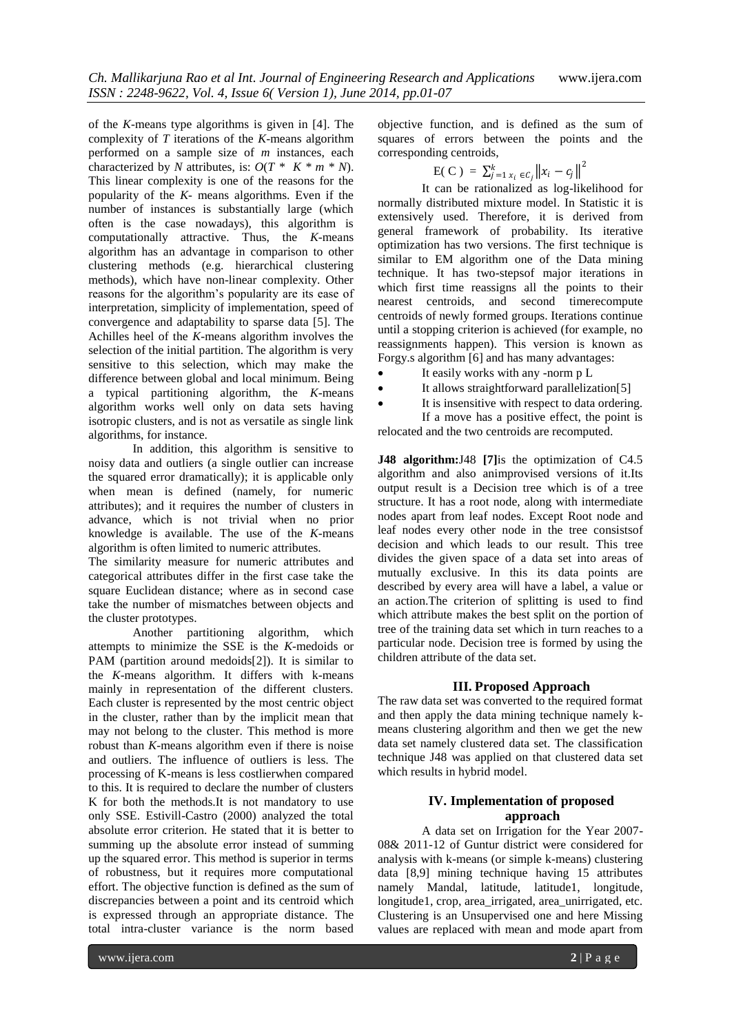of the *K*-means type algorithms is given in [4]. The complexity of *T* iterations of the *K*-means algorithm performed on a sample size of *m* instances, each characterized by *N* attributes, is:  $O(T \times K \times m \times N)$ . This linear complexity is one of the reasons for the popularity of the *K*- means algorithms. Even if the number of instances is substantially large (which often is the case nowadays), this algorithm is computationally attractive. Thus, the *K*-means algorithm has an advantage in comparison to other clustering methods (e.g. hierarchical clustering methods), which have non-linear complexity. Other reasons for the algorithm's popularity are its ease of interpretation, simplicity of implementation, speed of convergence and adaptability to sparse data [5]. The Achilles heel of the *K*-means algorithm involves the selection of the initial partition. The algorithm is very sensitive to this selection, which may make the difference between global and local minimum. Being a typical partitioning algorithm, the *K*-means algorithm works well only on data sets having isotropic clusters, and is not as versatile as single link algorithms, for instance.

In addition, this algorithm is sensitive to noisy data and outliers (a single outlier can increase the squared error dramatically); it is applicable only when mean is defined (namely, for numeric attributes); and it requires the number of clusters in advance, which is not trivial when no prior knowledge is available. The use of the *K*-means algorithm is often limited to numeric attributes.

The similarity measure for numeric attributes and categorical attributes differ in the first case take the square Euclidean distance; where as in second case take the number of mismatches between objects and the cluster prototypes.

Another partitioning algorithm, which attempts to minimize the SSE is the *K*-medoids or PAM (partition around medoids[2]). It is similar to the *K*-means algorithm. It differs with k-means mainly in representation of the different clusters. Each cluster is represented by the most centric object in the cluster, rather than by the implicit mean that may not belong to the cluster. This method is more robust than *K*-means algorithm even if there is noise and outliers. The influence of outliers is less. The processing of K-means is less costlierwhen compared to this. It is required to declare the number of clusters K for both the methods.It is not mandatory to use only SSE. Estivill-Castro (2000) analyzed the total absolute error criterion. He stated that it is better to summing up the absolute error instead of summing up the squared error. This method is superior in terms of robustness, but it requires more computational effort. The objective function is defined as the sum of discrepancies between a point and its centroid which is expressed through an appropriate distance. The total intra-cluster variance is the norm based

objective function, and is defined as the sum of squares of errors between the points and the corresponding centroids,

$$
E(C) = \sum_{j=1}^{k} x_i \, \epsilon c_j \, \|x_i - c_j\|^2
$$

It can be rationalized as log-likelihood for normally distributed mixture model. In Statistic it is extensively used. Therefore, it is derived from general framework of probability. Its iterative optimization has two versions. The first technique is similar to EM algorithm one of the Data mining technique. It has two-stepsof major iterations in which first time reassigns all the points to their nearest centroids, and second timerecompute centroids of newly formed groups. Iterations continue until a stopping criterion is achieved (for example, no reassignments happen). This version is known as Forgy.s algorithm [6] and has many advantages:

- It easily works with any -norm p L
- It allows straightforward parallelization[5]
- It is insensitive with respect to data ordering. If a move has a positive effect, the point is relocated and the two centroids are recomputed.

**J48 algorithm:**J48 **[7]**is the optimization of C4.5 algorithm and also animprovised versions of it.Its output result is a Decision tree which is of a tree structure. It has a root node, along with intermediate nodes apart from leaf nodes. Except Root node and leaf nodes every other node in the tree consistsof decision and which leads to our result. This tree divides the given space of a data set into areas of mutually exclusive. In this its data points are described by every area will have a label, a value or an action.The criterion of splitting is used to find which attribute makes the best split on the portion of tree of the training data set which in turn reaches to a particular node. Decision tree is formed by using the children attribute of the data set.

### **III. Proposed Approach**

The raw data set was converted to the required format and then apply the data mining technique namely kmeans clustering algorithm and then we get the new data set namely clustered data set. The classification technique J48 was applied on that clustered data set which results in hybrid model.

# **IV. Implementation of proposed approach**

A data set on Irrigation for the Year 2007- 08& 2011-12 of Guntur district were considered for analysis with k-means (or simple k-means) clustering data [8,9] mining technique having 15 attributes namely Mandal, latitude, latitude1, longitude, longitude1, crop, area\_irrigated, area\_unirrigated, etc. Clustering is an Unsupervised one and here Missing values are replaced with mean and mode apart from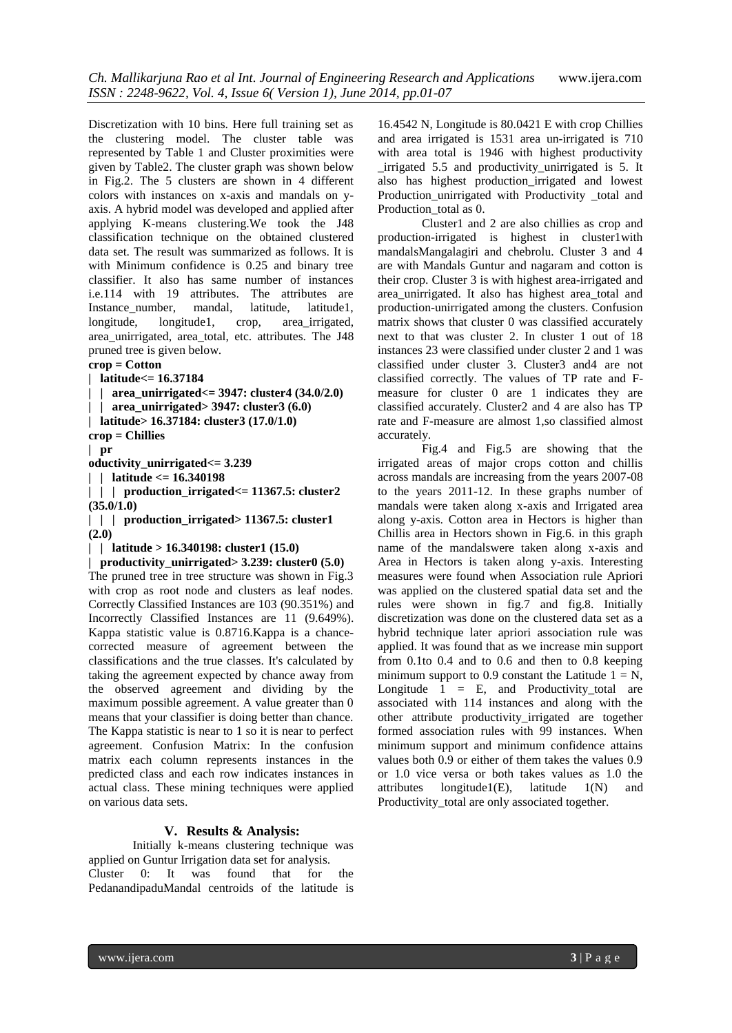Discretization with 10 bins. Here full training set as the clustering model. The cluster table was represented by Table 1 and Cluster proximities were given by Table2. The cluster graph was shown below in Fig.2. The 5 clusters are shown in 4 different colors with instances on x-axis and mandals on yaxis. A hybrid model was developed and applied after applying K-means clustering.We took the J48 classification technique on the obtained clustered data set. The result was summarized as follows. It is with Minimum confidence is 0.25 and binary tree classifier. It also has same number of instances i.e.114 with 19 attributes. The attributes are Instance number, mandal, latitude, latitude1, longitude, longitude1, crop, area irrigated, area\_unirrigated, area\_total, etc. attributes. The J48 pruned tree is given below.

### **crop = Cotton**

```
| latitude<= 16.37184
```

```
| | area_unirrigated<= 3947: cluster4 (34.0/2.0)
```

```
| | area_unirrigated> 3947: cluster3 (6.0)
```

```
| latitude> 16.37184: cluster3 (17.0/1.0)
```

```
crop = Chillies
| pr
```
**oductivity\_unirrigated<= 3.239**

**| | latitude <= 16.340198**

**| | | production\_irrigated<= 11367.5: cluster2 (35.0/1.0)**

**| | | production\_irrigated> 11367.5: cluster1 (2.0)**

**| | latitude > 16.340198: cluster1 (15.0)**

```
| productivity_unirrigated> 3.239: cluster0 (5.0)
```
The pruned tree in tree structure was shown in Fig.3 with crop as root node and clusters as leaf nodes. Correctly Classified Instances are 103 (90.351%) and Incorrectly Classified Instances are 11 (9.649%). Kappa statistic value is 0.8716.Kappa is a chancecorrected measure of agreement between the classifications and the true classes. It's calculated by taking the agreement expected by chance away from the observed agreement and dividing by the maximum possible agreement. A value greater than 0 means that your classifier is doing better than chance. The Kappa statistic is near to 1 so it is near to perfect agreement. Confusion Matrix: In the confusion matrix each column represents instances in the predicted class and each row indicates instances in actual class. These mining techniques were applied on various data sets.

### **V. Results & Analysis:**

Initially k-means clustering technique was applied on Guntur Irrigation data set for analysis. Cluster 0: It was found that for the PedanandipaduMandal centroids of the latitude is

16.4542 N, Longitude is 80.0421 E with crop Chillies and area irrigated is 1531 area un-irrigated is 710 with area total is 1946 with highest productivity \_irrigated 5.5 and productivity\_unirrigated is 5. It also has highest production\_irrigated and lowest Production unirrigated with Productivity total and Production\_total as 0.

Cluster1 and 2 are also chillies as crop and production-irrigated is highest in cluster1with mandalsMangalagiri and chebrolu. Cluster 3 and 4 are with Mandals Guntur and nagaram and cotton is their crop. Cluster 3 is with highest area-irrigated and area\_unirrigated. It also has highest area\_total and production-unirrigated among the clusters. Confusion matrix shows that cluster 0 was classified accurately next to that was cluster 2. In cluster 1 out of 18 instances 23 were classified under cluster 2 and 1 was classified under cluster 3. Cluster3 and4 are not classified correctly. The values of TP rate and Fmeasure for cluster 0 are 1 indicates they are classified accurately. Cluster2 and 4 are also has TP rate and F-measure are almost 1,so classified almost accurately.

Fig.4 and Fig.5 are showing that the irrigated areas of major crops cotton and chillis across mandals are increasing from the years 2007-08 to the years 2011-12. In these graphs number of mandals were taken along x-axis and Irrigated area along y-axis. Cotton area in Hectors is higher than Chillis area in Hectors shown in Fig.6. in this graph name of the mandalswere taken along x-axis and Area in Hectors is taken along y-axis. Interesting measures were found when Association rule Apriori was applied on the clustered spatial data set and the rules were shown in fig.7 and fig.8. Initially discretization was done on the clustered data set as a hybrid technique later apriori association rule was applied. It was found that as we increase min support from 0.1to 0.4 and to 0.6 and then to 0.8 keeping minimum support to 0.9 constant the Latitude  $1 = N$ , Longitude  $1 = E$ , and Productivity\_total are associated with 114 instances and along with the other attribute productivity\_irrigated are together formed association rules with 99 instances. When minimum support and minimum confidence attains values both 0.9 or either of them takes the values 0.9 or 1.0 vice versa or both takes values as 1.0 the attributes  $longitude1(E)$ , latitude  $1(N)$  and Productivity total are only associated together.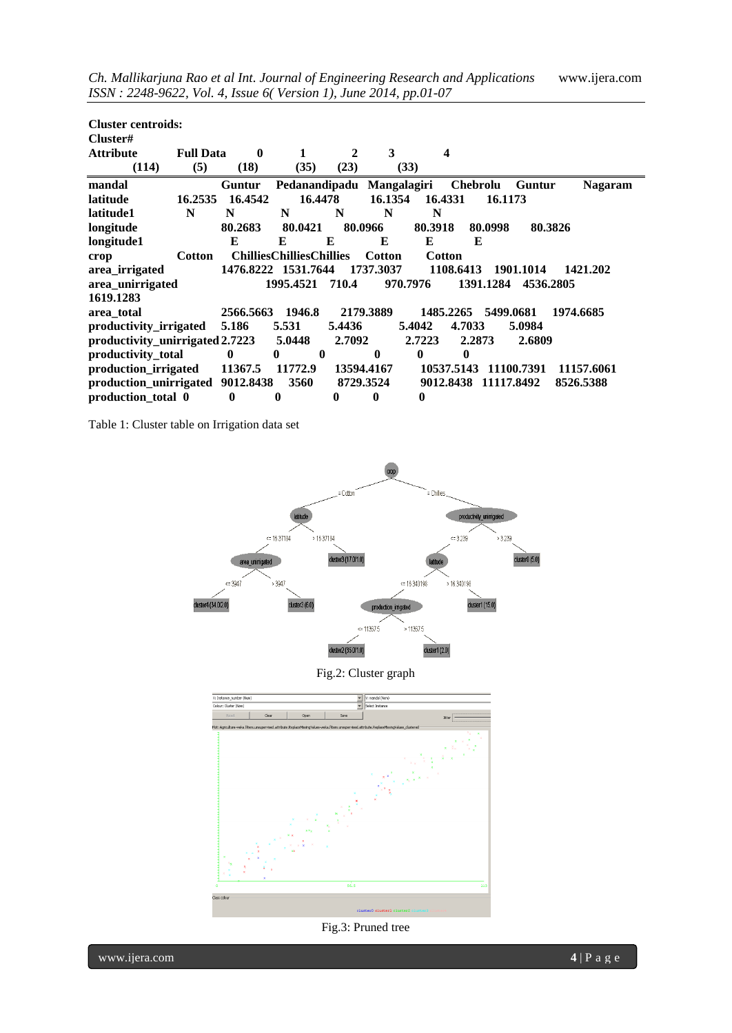| <b>Cluster centroids:</b><br>Cluster# |                  |             |                                 |            |               |              |                 |            |                |
|---------------------------------------|------------------|-------------|---------------------------------|------------|---------------|--------------|-----------------|------------|----------------|
| <b>Attribute</b>                      | <b>Full Data</b> | $\mathbf 0$ |                                 | 2          | 3             | 4            |                 |            |                |
| (114)                                 | (5)              | (18)        | (35)                            | (23)       | (33)          |              |                 |            |                |
| mandal                                |                  | Guntur      | Pedanandipadu Mangalagiri       |            |               |              | <b>Chebrolu</b> | Guntur     | <b>Nagaram</b> |
| latitude                              | 16.2535          | 16.4542     | 16.4478                         |            | 16.1354       | 16.4331      | 16.1173         |            |                |
| latitude1                             | N                | N           | N                               | N          | N             | N            |                 |            |                |
| longitude                             |                  | 80.2683     | 80.0421                         | 80.0966    |               | 80.3918      | 80.0998         | 80.3826    |                |
| longitude1                            |                  | E           | E                               | E          | E             | E            | E               |            |                |
| crop                                  | <b>Cotton</b>    |             | <b>ChilliesChilliesChillies</b> |            | <b>Cotton</b> | Cotton       |                 |            |                |
| area_irrigated                        |                  |             | 1476.8222 1531.7644             |            | 1737.3037     | 1108.6413    |                 | 1901.1014  | 1421.202       |
| area_unirrigated                      |                  |             | 1995.4521                       | 710.4      | 970.7976      |              | 1391.1284       | 4536.2805  |                |
| 1619.1283                             |                  |             |                                 |            |               |              |                 |            |                |
| area total                            |                  | 2566.5663   | 1946.8                          |            | 2179.3889     | 1485.2265    | 5499.0681       |            | 1974.6685      |
| productivity_irrigated                |                  | 5.186       | 5.531                           | 5.4436     |               | 5.4042       | 4.7033          | 5.0984     |                |
| productivity_unirrigated 2.7223       |                  |             | 5.0448                          | 2.7092     |               | 2.7223       | 2.2873          | 2.6809     |                |
| productivity total                    |                  | $\bf{0}$    | $\mathbf{0}$<br>$\bf{0}$        |            | $\mathbf{0}$  | $\mathbf{0}$ | $\bf{0}$        |            |                |
| production_irrigated                  |                  | 11367.5     | 11772.9                         | 13594.4167 |               | 10537.5143   |                 | 11100.7391 | 11157.6061     |
| production_unirrigated                |                  | 9012.8438   | 3560                            | 8729.3524  |               | 9012.8438    | 11117.8492      |            | 8526.5388      |
| production_total 0                    |                  | $\bf{0}$    | 0                               | $\bf{0}$   | $\mathbf 0$   | 0            |                 |            |                |

Table 1: Cluster table on Irrigation data set



Fig.2: Cluster graph



Fig.3: Pruned tree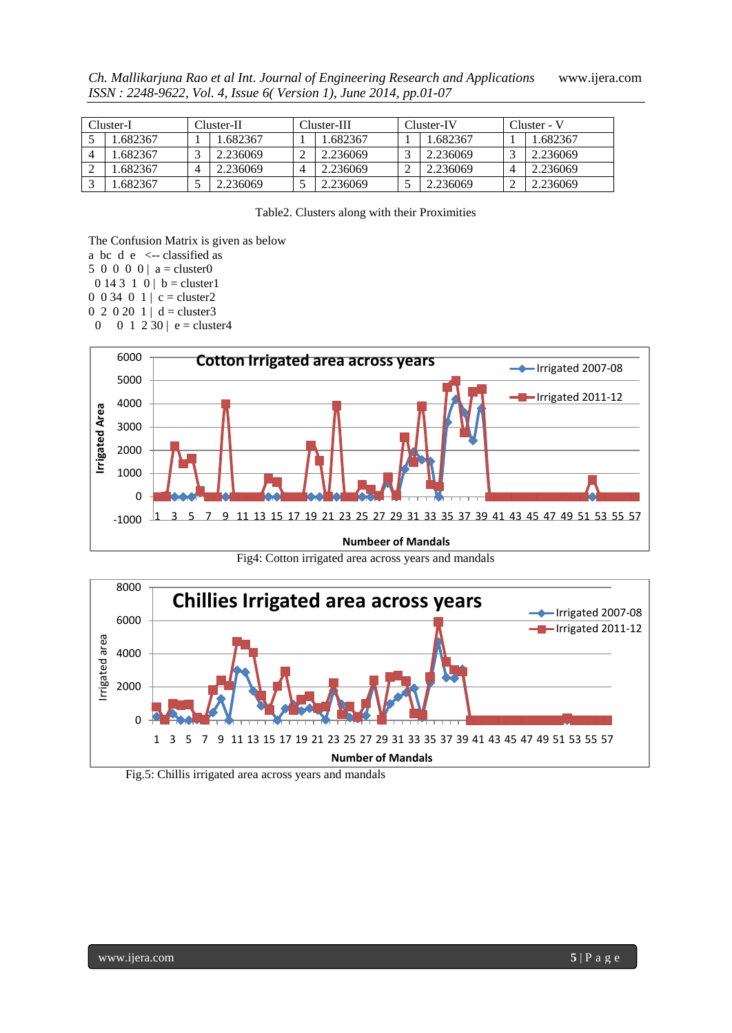Cluster-I Cluster-II Cluster-III Cluster-IV Cluster - V 5 | 1.682367 | 1 | 1.682367 | 1 | 1.682367 | 1 | 1.682367 | 1 | 1.682367 4 1.682367 3 2.236069 2 2.236069 3 2.236069 3 2.236069 2 1.682367 4 2.236069 4 2.236069 2 2.236069 4 2.236069 3 1.682367 5 2.236069 5 2.236069 5 2.236069 2 2.236069

*Ch. Mallikarjuna Rao et al Int. Journal of Engineering Research and Applications* www.ijera.com *ISSN : 2248-9622, Vol. 4, Issue 6( Version 1), June 2014, pp.01-07*

Table2. Clusters along with their Proximities

The Confusion Matrix is given as below

- a bc  $d \cdot e \le -$  classified as
- 5 0 0 0 0 |  $a = cluster0$
- $0 14 3 1 0 | b = cluster1$
- 0 0 34 0 1 | c = cluster2
- $0 \t2 \t0 \t20 \t1 \t d = cluster3$
- 0 0 1 2 30 | e = cluster4



Fig4: Cotton irrigated area across years and mandals



Fig.5: Chillis irrigated area across years and mandals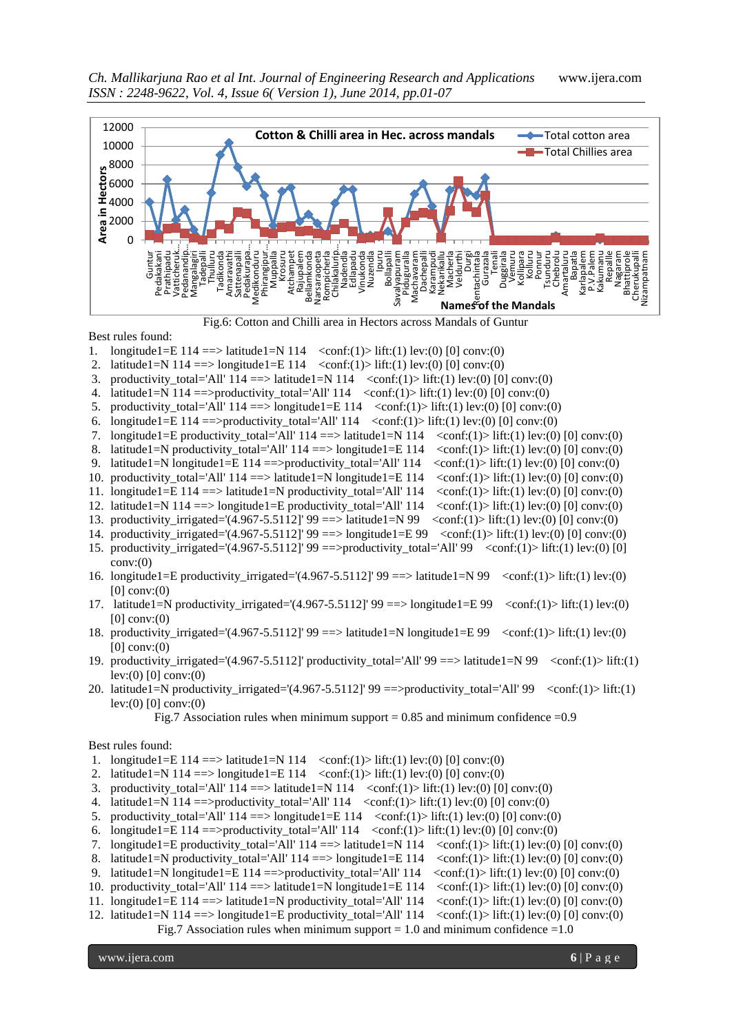

Fig.6: Cotton and Chilli area in Hectors across Mandals of Guntur

Best rules found:

- 1. longitude1=E 114 ==> latitude1=N 114 <conf:(1)> lift:(1) lev:(0) [0] conv:(0)
- 2. latitude1=N 114 ==> longitude1=E 114 <conf:(1)> lift:(1) lev:(0) [0] conv:(0)
- 3. productivity\_total='All'  $114$  ==> latitude1=N  $114$  <conf:(1)> lift:(1) lev:(0) [0] conv:(0)
- 4. latitude1=N  $114$  = > productivity total='All'  $114$  <conf:(1) lev:(0)  $[0]$  conv:(0)
- 5. productivity\_total='All'  $114$  ==> longitude1=E  $114$  <conf:(1)> lift:(1) lev:(0) [0] conv:(0)
- 6. longitude1=E 114 ==>productivity\_total='All' 114  $\langle$ conf:(1)> lift:(1) lev:(0) [0] conv:(0)
- 7. longitude1=E productivity\_total='All'  $114$  ==> latitude1=N  $114$  <conf:(1)> lift:(1) lev:(0) [0] conv:(0)
- 8. latitude1=N productivity\_total='All'  $114$  ==> longitude1=E  $114$  <conf:(1)> lift:(1) lev:(0) [0] conv:(0)
- 9. latitude1=N longitude1=E 114 = > productivity\_total='All' 114  $\langle$  conf:(1)> lift:(1) lev:(0) [0] conv:(0)
- 10. productivity total='All'  $114 ==$  latitude1=N longitude1=E 114  $\langle$ conf:(1)> lift:(1) lev:(0) [0] conv:(0)
- 11. longitude1=E 114 ==> latitude1=N productivity total='All' 114  $\langle$  conf:(1)> lift:(1) lev:(0) [0] conv:(0)
- 12. latitude1=N  $114$  =  $>$  longitude1=E productivity total='All' 114  $\lt$  conf:(1) $>$  lift:(1) lev:(0) [0] conv:(0)
- 13. productivity irrigated='(4.967-5.5112]' 99 ==> latitude1=N 99  $\langle \text{conf:}(1)\rangle$  lift:(1) lev:(0) [0] conv:(0)
- 14. productivity\_irrigated='(4.967-5.5112]' 99 ==> longitude1=E 99 <conf:(1)> lift:(1) lev:(0) [0] conv:(0)
- 15. productivity irrigated='(4.967-5.5112]' 99 ==>productivity total='All' 99 <conf:(1)> lift:(1) lev:(0) [0] conv:(0)
- 16. longitude1=E productivity\_irrigated='(4.967-5.5112]'  $99 \equiv \Rightarrow$  latitude1=N 99 <conf:(1)> lift:(1) lev:(0)  $[0]$  conv: $(0)$
- 17. latitude1=N productivity\_irrigated='(4.967-5.5112]'  $99 \implies$  longitude1=E  $99 \lt \text{conf:}(1)$  lev:(0)  $[0]$  conv: $(0)$
- 18. productivity\_irrigated='(4.967-5.5112]'  $99 ==$ > latitude1=N longitude1=E  $99$  <conf:(1)> lift:(1) lev:(0)  $[0]$  conv: $(0)$
- 19. productivity\_irrigated='(4.967-5.5112]' productivity\_total='All' 99 ==> latitude1=N 99 <conf:(1)> lift:(1) lev: $(0)$  [0] conv: $(0)$
- 20. latitude1=N productivity\_irrigated='(4.967-5.5112]' 99 ==>productivity\_total='All' 99 <conf:(1)> lift:(1) lev:(0) [0] conv:(0)

Fig.7 Association rules when minimum support =  $0.85$  and minimum confidence =  $0.9$ 

Best rules found:

- 1. longitude1=E  $114 ==$  latitude1=N  $114$  <conf:(1) lift:(1) lev:(0) [0] conv:(0)
- 2. latitude1=N 114 ==> longitude1=E 114  $\langle$  <conf:(1)> lift:(1) lev:(0) [0] conv:(0)
- 3. productivity total='All'  $114$  ==> latitude1=N  $114$  <conf:(1)> lift:(1) lev:(0) [0] conv:(0)
- 4. latitude1=N  $114$  = > productivity\_total='All'  $114$  <conf:(1) lev:(0)  $[0]$  conv:(0)
- 5. productivity total='All'  $114$  ==> longitude1=E 114 <conf:(1)> lift:(1) lev:(0) [0] conv:(0)
- 6. longitude1=E 114 = = > productivity\_total='All' 114  $\langle$  conf:(1) > lift:(1) lev:(0) [0] conv:(0)
- 7. longitude1=E productivity total='All'  $114$  ==> latitude1=N  $114$  <conf:(1)> lift:(1) lev:(0) [0] conv:(0)
- 8. latitude1=N productivity\_total='All'  $114$  ==> longitude1=E  $114$  <conf:(1)> lift:(1) lev:(0) [0] conv:(0)
- 9. latitude1=N longitude1=E 114 = productivity\_total='All' 114  $\langle$ conf:(1)> lift:(1) lev:(0) [0] conv:(0)
- 10. productivity\_total='All'  $114$  ==> latitude1=N longitude1=E  $114 \quad \text{conf:}(1)$  > lift:(1) lev:(0) [0] conv:(0)
- 11. longitude1=E 114 ==> latitude1=N productivity\_total='All' 114  $\langle$  conf:(1)> lift:(1) lev:(0) [0] conv:(0)
- 12. latitude1=N  $114$  ==> longitude1=E productivity\_total='All'  $114 \quad \text{conf:}(1)$  > lift:(1) lev:(0) [0] conv:(0)

Fig.7 Association rules when minimum support  $= 1.0$  and minimum confidence  $= 1.0$